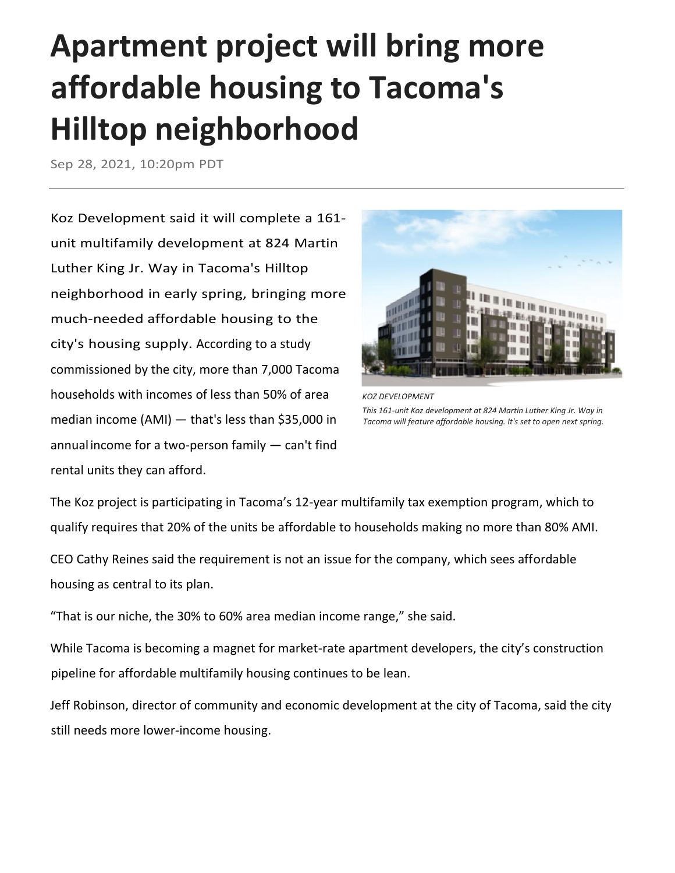## **Apartment project will bring more affordable housing to Tacoma's Hilltop neighborhood**

Sep 28, 2021, 10:20pm PDT

Koz Development said it will complete a 161 unit multifamily development at 824 Martin Luther King Jr. Way in Tacoma's Hilltop neighborhood in early spring, bringing more much-needed affordable housing to the city's housing supply. According to a [study](https://www.cityoftacoma.org/UserFiles/Servers/Server_6/File/cms/Planning/Affordable%20Housing/AHAS%20Planning%20Actions/Tacoma%20Housing%20Action%20Plan%20full%206-8-2021.pdf)  [commissioned by the city,](https://www.cityoftacoma.org/UserFiles/Servers/Server_6/File/cms/Planning/Affordable%20Housing/AHAS%20Planning%20Actions/Tacoma%20Housing%20Action%20Plan%20full%206-8-2021.pdf) more than 7,000 Tacoma households with incomes of less than 50% of area median income (AMI) — that's [less than \\$35,000](https://www.tacomahousing.net/content/program-eligibility) in annualincome for a two-person family — can't find rental units they can afford.



*KOZ DEVELOPMENT This 161-unit Koz development at 824 Martin Luther King Jr. Way in Tacoma will feature affordable housing. It's set to open next spring.*

The Koz project is participating in Tacoma's 12-year multifamily tax exemption program, which to qualify requires that 20% of the units be affordable to households making no more than 80% AMI.

CEO [Cathy Reines](https://www.bizjournals.com/seattle/search/results?q=Cathy%20Reines) said the requirement is not an issue for the company, which sees affordable housing as central to its plan.

"That is our niche, the 30% to 60% area median income range," she said.

While Tacoma is becoming a magnet for market-rate apartment developers, the city's construction pipeline for affordable multifamily housing continues to be lean.

[Jeff Robinson,](https://www.bizjournals.com/seattle/search/results?q=Jeff%20Robinson) director of community and economic development at the city of Tacoma, said the city still needs more lower-income housing.